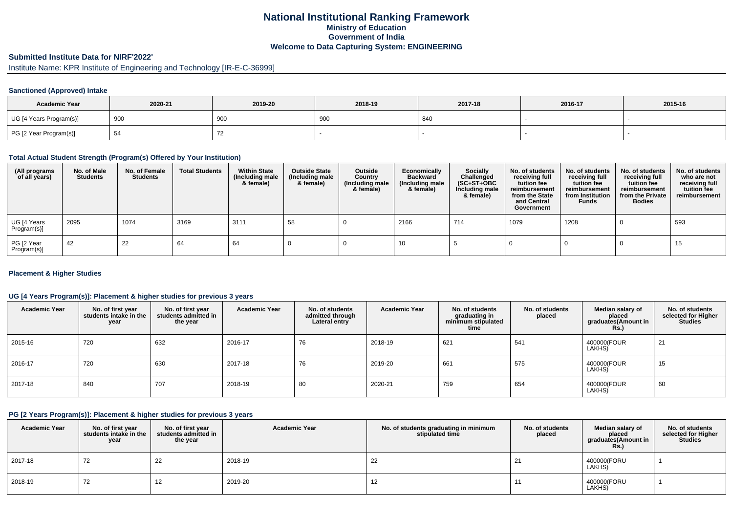## **National Institutional Ranking FrameworkMinistry of Education Government of IndiaWelcome to Data Capturing System: ENGINEERING**

# **Submitted Institute Data for NIRF'2022'**

# Institute Name: KPR Institute of Engineering and Technology [IR-E-C-36999]

#### **Sanctioned (Approved) Intake**

| <b>Academic Year</b>    | 2020-21 | 2019-20 | 2018-19     | 2017-18 | 2016-17 | 2015-16 |
|-------------------------|---------|---------|-------------|---------|---------|---------|
| UG [4 Years Program(s)] | 900     | 900     | . OC<br>ັບປ | 840     |         |         |
| PG [2 Year Program(s)]  | ◡       |         |             |         |         |         |

#### **Total Actual Student Strength (Program(s) Offered by Your Institution)**

| (All programs<br>of all years) | No. of Male<br><b>Students</b> | No. of Female<br>Students | <b>Total Students</b> | <b>Within State</b><br>(Including male<br>& female) | <b>Outside State</b><br>(Including male<br>& female) | Outside<br>Country<br>(Including male<br>& female) | Economically<br><b>Backward</b><br>(Including male<br>& female) | <b>Socially</b><br>Challenged<br>$(SC+ST+OBC)$<br>Including male<br>& female) | No. of students<br>receiving full<br>tuition fee<br>reimbursement<br>from the State<br>and Central<br>Government | No. of students<br>receiving full<br>tuition fee<br>reimbursement<br>from Institution<br><b>Funds</b> | No. of students<br>receiving full<br>tuition fee<br>reimbursement<br>from the Private<br><b>Bodies</b> | No. of students<br>who are not<br>receiving full<br>tuition fee<br>reimbursement |
|--------------------------------|--------------------------------|---------------------------|-----------------------|-----------------------------------------------------|------------------------------------------------------|----------------------------------------------------|-----------------------------------------------------------------|-------------------------------------------------------------------------------|------------------------------------------------------------------------------------------------------------------|-------------------------------------------------------------------------------------------------------|--------------------------------------------------------------------------------------------------------|----------------------------------------------------------------------------------|
| UG [4 Years<br>Program(s)]     | 2095                           | 1074                      | 3169                  | 3111                                                | 58                                                   |                                                    | 2166                                                            | 714                                                                           | 1079                                                                                                             | 1208                                                                                                  |                                                                                                        | 593                                                                              |
| PG [2 Year<br>Program(s)]      | 42                             | 22                        | 64                    | 64                                                  |                                                      |                                                    | 10                                                              |                                                                               |                                                                                                                  |                                                                                                       |                                                                                                        | 15                                                                               |

#### **Placement & Higher Studies**

#### **UG [4 Years Program(s)]: Placement & higher studies for previous 3 years**

| <b>Academic Year</b> | No. of first year<br>students intake in the<br>year | No. of first vear<br>students admitted in<br>the year | <b>Academic Year</b> | No. of students<br>admitted through<br>Lateral entry | <b>Academic Year</b> | No. of students<br>graduating in<br>minimum stipulated<br>time | No. of students<br>placed | Median salary of<br>placed<br>graduates(Amount in<br><b>Rs.)</b> | No. of students<br>selected for Higher<br><b>Studies</b> |
|----------------------|-----------------------------------------------------|-------------------------------------------------------|----------------------|------------------------------------------------------|----------------------|----------------------------------------------------------------|---------------------------|------------------------------------------------------------------|----------------------------------------------------------|
| 2015-16              | 720                                                 | 632                                                   | 2016-17              | 76                                                   | 2018-19              | 621                                                            | 541                       | 400000(FOUR<br>LAKHS)                                            | 21                                                       |
| 2016-17              | 720                                                 | 630                                                   | 2017-18              | 76                                                   | 2019-20              | 661                                                            | 575                       | 400000(FOUR<br>LAKHS)                                            | 15                                                       |
| 2017-18              | 840                                                 | 707                                                   | 2018-19              | 80                                                   | 2020-21              | 759                                                            | 654                       | 400000(FOUR<br>LAKHS)                                            | 60                                                       |

#### **PG [2 Years Program(s)]: Placement & higher studies for previous 3 years**

| <b>Academic Year</b> | No. of first year<br>students intake in the<br>year | No. of first year<br>students admitted in<br>the year | <b>Academic Year</b> | No. of students graduating in minimum<br>stipulated time | No. of students<br>placed | Median salary of<br>placed<br>graduates(Amount in<br>Rs.) | No. of students<br>selected for Higher<br><b>Studies</b> |
|----------------------|-----------------------------------------------------|-------------------------------------------------------|----------------------|----------------------------------------------------------|---------------------------|-----------------------------------------------------------|----------------------------------------------------------|
| 2017-18              | 72                                                  | 22                                                    | 2018-19              | 22                                                       | 21                        | 400000(FORU<br>LAKHS)                                     |                                                          |
| 2018-19              | 72                                                  | 12                                                    | 2019-20              | 12                                                       |                           | 400000(FORU<br>LAKHS)                                     |                                                          |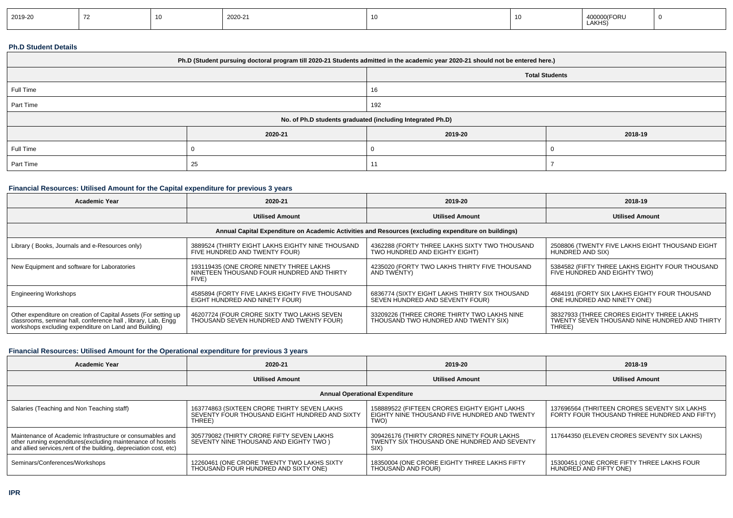| 2019-20 |  | 2020-21 |  | <b>FORU</b><br>40000<br>LAKHS) |  |
|---------|--|---------|--|--------------------------------|--|
|         |  |         |  |                                |  |

#### **Ph.D Student Details**

| Ph.D (Student pursuing doctoral program till 2020-21 Students admitted in the academic year 2020-21 should not be entered here.) |         |                       |         |  |
|----------------------------------------------------------------------------------------------------------------------------------|---------|-----------------------|---------|--|
|                                                                                                                                  |         | <b>Total Students</b> |         |  |
| Full Time                                                                                                                        |         | 16                    |         |  |
| Part Time                                                                                                                        |         | 192                   |         |  |
| No. of Ph.D students graduated (including Integrated Ph.D)                                                                       |         |                       |         |  |
|                                                                                                                                  | 2020-21 | 2019-20               | 2018-19 |  |
| Full Time                                                                                                                        |         |                       |         |  |
| Part Time                                                                                                                        | 25      |                       |         |  |

### **Financial Resources: Utilised Amount for the Capital expenditure for previous 3 years**

| <b>Academic Year</b>                                                                                                                                                                      | 2020-21                                                                                       | 2019-20                                                                                              | 2018-19                                                                                              |
|-------------------------------------------------------------------------------------------------------------------------------------------------------------------------------------------|-----------------------------------------------------------------------------------------------|------------------------------------------------------------------------------------------------------|------------------------------------------------------------------------------------------------------|
|                                                                                                                                                                                           | <b>Utilised Amount</b>                                                                        | <b>Utilised Amount</b>                                                                               | <b>Utilised Amount</b>                                                                               |
|                                                                                                                                                                                           |                                                                                               | Annual Capital Expenditure on Academic Activities and Resources (excluding expenditure on buildings) |                                                                                                      |
| Library (Books, Journals and e-Resources only)                                                                                                                                            | 3889524 (THIRTY EIGHT LAKHS EIGHTY NINE THOUSAND<br>FIVE HUNDRED AND TWENTY FOUR)             | 4362288 (FORTY THREE LAKHS SIXTY TWO THOUSAND<br>TWO HUNDRED AND EIGHTY EIGHT)                       | 2508806 (TWENTY FIVE LAKHS EIGHT THOUSAND EIGHT<br>HUNDRED AND SIX)                                  |
| New Equipment and software for Laboratories                                                                                                                                               | 193119435 (ONE CRORE NINETY THREE LAKHS<br>NINETEEN THOUSAND FOUR HUNDRED AND THIRTY<br>FIVE) | 4235020 (FORTY TWO LAKHS THIRTY FIVE THOUSAND<br>AND TWENTY)                                         | 5384582 (FIFTY THREE LAKHS EIGHTY FOUR THOUSAND<br>FIVE HUNDRED AND EIGHTY TWO)                      |
| <b>Engineering Workshops</b>                                                                                                                                                              | 4585894 (FORTY FIVE LAKHS EIGHTY FIVE THOUSAND<br>EIGHT HUNDRED AND NINETY FOUR)              | 6836774 (SIXTY EIGHT LAKHS THIRTY SIX THOUSAND<br>SEVEN HUNDRED AND SEVENTY FOUR)                    | 4684191 (FORTY SIX LAKHS EIGHTY FOUR THOUSAND<br>ONE HUNDRED AND NINETY ONE)                         |
| Other expenditure on creation of Capital Assets (For setting up<br>classrooms, seminar hall, conference hall, library, Lab, Engg<br>workshops excluding expenditure on Land and Building) | 46207724 (FOUR CRORE SIXTY TWO LAKHS SEVEN<br>THOUSAND SEVEN HUNDRED AND TWENTY FOUR)         | 33209226 (THREE CRORE THIRTY TWO LAKHS NINE<br>THOUSAND TWO HUNDRED AND TWENTY SIX)                  | 38327933 (THREE CRORES EIGHTY THREE LAKHS<br>TWENTY SEVEN THOUSAND NINE HUNDRED AND THIRTY<br>THREE) |

## **Financial Resources: Utilised Amount for the Operational expenditure for previous 3 years**

| <b>Academic Year</b>                                                                                                                                                                            | 2020-21                                                                                                | 2019-20                                                                                              | 2018-19                                                                                      |  |  |  |  |  |
|-------------------------------------------------------------------------------------------------------------------------------------------------------------------------------------------------|--------------------------------------------------------------------------------------------------------|------------------------------------------------------------------------------------------------------|----------------------------------------------------------------------------------------------|--|--|--|--|--|
|                                                                                                                                                                                                 | <b>Utilised Amount</b>                                                                                 | <b>Utilised Amount</b>                                                                               | <b>Utilised Amount</b>                                                                       |  |  |  |  |  |
| <b>Annual Operational Expenditure</b>                                                                                                                                                           |                                                                                                        |                                                                                                      |                                                                                              |  |  |  |  |  |
| Salaries (Teaching and Non Teaching staff)                                                                                                                                                      | 163774863 (SIXTEEN CRORE THIRTY SEVEN LAKHS<br>SEVENTY FOUR THOUSAND EIGHT HUNDRED AND SIXTY<br>THREE) | 158889522 (FIFTEEN CRORES EIGHTY EIGHT LAKHS<br>EIGHTY NINE THOUSAND FIVE HUNDRED AND TWENTY<br>TWO) | 137696564 (THRITEEN CRORES SEVENTY SIX LAKHS<br>FORTY FOUR THOUSAND THREE HUNDRED AND FIFTY) |  |  |  |  |  |
| Maintenance of Academic Infrastructure or consumables and<br>other running expenditures (excluding maintenance of hostels<br>and allied services, rent of the building, depreciation cost, etc) | 305779082 (THIRTY CRORE FIFTY SEVEN LAKHS<br>SEVENTY NINE THOUSAND AND EIGHTY TWO                      | 309426176 (THIRTY CRORES NINETY FOUR LAKHS<br>TWENTY SIX THOUSAND ONE HUNDRED AND SEVENTY<br>SIX)    | 117644350 (ELEVEN CRORES SEVENTY SIX LAKHS)                                                  |  |  |  |  |  |
| Seminars/Conferences/Workshops                                                                                                                                                                  | 12260461 (ONE CRORE TWENTY TWO LAKHS SIXTY<br>THOUSAND FOUR HUNDRED AND SIXTY ONE)                     | 18350004 (ONE CRORE EIGHTY THREE LAKHS FIFTY<br>THOUSAND AND FOUR)                                   | 15300451 (ONE CRORE FIFTY THREE LAKHS FOUR<br>HUNDRED AND FIFTY ONE)                         |  |  |  |  |  |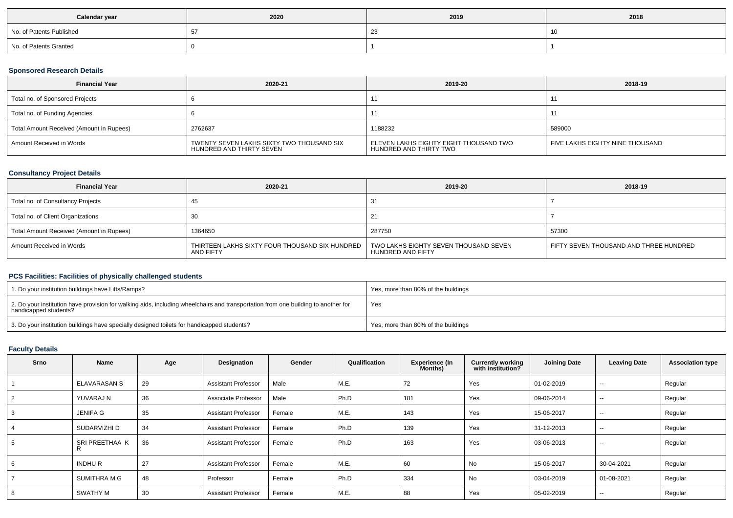| Calendar year            | 2020 | 2019 | 2018 |
|--------------------------|------|------|------|
| No. of Patents Published |      |      | 10   |
| No. of Patents Granted   |      |      |      |

### **Sponsored Research Details**

| <b>Financial Year</b>                    | 2020-21                                                               | 2019-20                                                          | 2018-19                         |
|------------------------------------------|-----------------------------------------------------------------------|------------------------------------------------------------------|---------------------------------|
| Total no. of Sponsored Projects          |                                                                       |                                                                  |                                 |
| Total no. of Funding Agencies            |                                                                       |                                                                  |                                 |
| Total Amount Received (Amount in Rupees) | 2762637                                                               | 1188232                                                          | 589000                          |
| Amount Received in Words                 | TWENTY SEVEN LAKHS SIXTY TWO THOUSAND SIX<br>HUNDRED AND THIRTY SEVEN | ELEVEN LAKHS EIGHTY EIGHT THOUSAND TWO<br>HUNDRED AND THIRTY TWO | FIVE LAKHS EIGHTY NINE THOUSAND |

### **Consultancy Project Details**

| <b>Financial Year</b>                    | 2020-21                                                     | 2019-20                                                    | 2018-19                                |
|------------------------------------------|-------------------------------------------------------------|------------------------------------------------------------|----------------------------------------|
| Total no. of Consultancy Projects        | 45                                                          |                                                            |                                        |
| Total no. of Client Organizations        |                                                             |                                                            |                                        |
| Total Amount Received (Amount in Rupees) | 1364650                                                     | 287750                                                     | 57300                                  |
| Amount Received in Words                 | THIRTEEN LAKHS SIXTY FOUR THOUSAND SIX HUNDRED<br>AND FIFTY | TWO LAKHS EIGHTY SEVEN THOUSAND SEVEN<br>HUNDRED AND FIFTY | FIFTY SEVEN THOUSAND AND THREE HUNDRED |

### **PCS Facilities: Facilities of physically challenged students**

| 1. Do your institution buildings have Lifts/Ramps?                                                                                                         | Yes, more than 80% of the buildings |
|------------------------------------------------------------------------------------------------------------------------------------------------------------|-------------------------------------|
| 2. Do your institution have provision for walking aids, including wheelchairs and transportation from one building to another for<br>handicapped students? | Yes                                 |
| 3. Do your institution buildings have specially designed toilets for handicapped students?                                                                 | Yes, more than 80% of the buildings |

#### **Faculty Details**

| Srno | <b>Name</b>     | Age | Designation                | Gender | Qualification | <b>Experience (In</b><br>Months) | <b>Currently working</b><br>with institution? | <b>Joining Date</b> | <b>Leaving Date</b>      | <b>Association type</b> |
|------|-----------------|-----|----------------------------|--------|---------------|----------------------------------|-----------------------------------------------|---------------------|--------------------------|-------------------------|
|      | ELAVARASAN S    | 29  | <b>Assistant Professor</b> | Male   | M.E.          | 72                               | Yes                                           | 01-02-2019          | $\sim$                   | Regular                 |
|      | YUVARAJ N       | 36  | Associate Professor        | Male   | Ph.D          | 181                              | Yes                                           | 09-06-2014          | $\overline{\phantom{a}}$ | Regular                 |
|      | <b>JENIFA G</b> | 35  | <b>Assistant Professor</b> | Female | M.E.          | 143                              | Yes                                           | 15-06-2017          | $\overline{\phantom{a}}$ | Regular                 |
|      | SUDARVIZHI D    | 34  | <b>Assistant Professor</b> | Female | Ph.D          | 139                              | Yes                                           | 31-12-2013          | $- -$                    | Regular                 |
|      | SRI PREETHAA K  | 36  | <b>Assistant Professor</b> | Female | Ph.D          | 163                              | Yes                                           | 03-06-2013          | $\sim$                   | Regular                 |
|      | <b>INDHUR</b>   | 27  | <b>Assistant Professor</b> | Female | M.E.          | 60                               | No                                            | 15-06-2017          | 30-04-2021               | Regular                 |
|      | SUMITHRA M G    | 48  | Professor                  | Female | Ph.D          | 334                              | No                                            | 03-04-2019          | 01-08-2021               | Regular                 |
|      | SWATHY M        | 30  | <b>Assistant Professor</b> | Female | M.E.          | 88                               | Yes                                           | 05-02-2019          | $\overline{\phantom{a}}$ | Regular                 |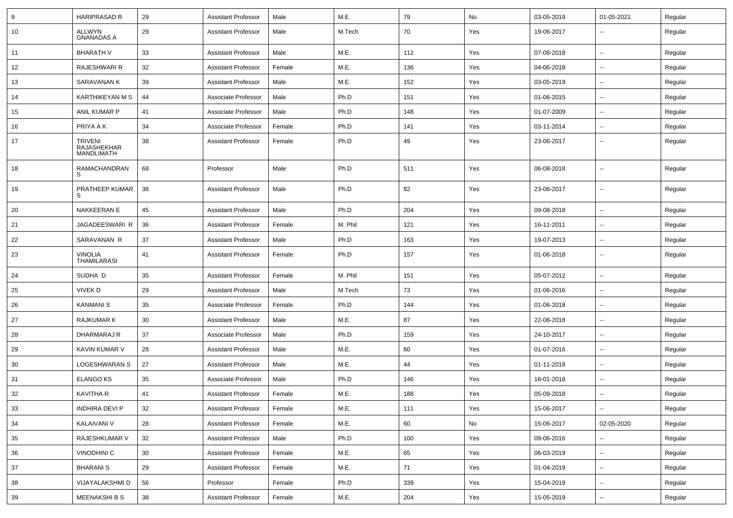| 9  | <b>HARIPRASAD R</b>                         | 29 | <b>Assistant Professor</b> | Male   | M.E.    | 79  | No  | 03-05-2019 | 01-05-2021               | Regular |
|----|---------------------------------------------|----|----------------------------|--------|---------|-----|-----|------------|--------------------------|---------|
| 10 | ALLWYN<br><b>GNANADAS A</b>                 | 29 | <b>Assistant Professor</b> | Male   | M.Tech  | 70  | Yes | 19-06-2017 | $\overline{\phantom{a}}$ | Regular |
| 11 | <b>BHARATH V</b>                            | 33 | <b>Assistant Professor</b> | Male   | M.E.    | 112 | Yes | 07-08-2018 | $\sim$                   | Regular |
| 12 | RAJESHWARI R                                | 32 | <b>Assistant Professor</b> | Female | M.E.    | 136 | Yes | 04-06-2018 |                          | Regular |
| 13 | SARAVANAN K                                 | 39 | <b>Assistant Professor</b> | Male   | M.E.    | 152 | Yes | 03-05-2019 |                          | Regular |
| 14 | KARTHIKEYAN M S                             | 44 | Associate Professor        | Male   | Ph.D    | 151 | Yes | 01-06-2015 | $\overline{\phantom{a}}$ | Regular |
| 15 | <b>ANIL KUMAR P</b>                         | 41 | Associate Professor        | Male   | Ph.D    | 148 | Yes | 01-07-2009 | $\sim$                   | Regular |
| 16 | PRIYA A K                                   | 34 | Associate Professor        | Female | Ph.D    | 141 | Yes | 03-11-2014 | $\sim$                   | Regular |
| 17 | <b>TRIVENI</b><br>RAJASHEKHAR<br>MANDLIMATH | 38 | <b>Assistant Professor</b> | Female | Ph.D    | 49  | Yes | 23-06-2017 | $\overline{\phantom{a}}$ | Regular |
| 18 | RAMACHANDRAN<br>S                           | 68 | Professor                  | Male   | Ph.D    | 511 | Yes | 06-08-2018 | Ξ.                       | Regular |
| 19 | PRATHEEP KUMAR<br>S                         | 38 | <b>Assistant Professor</b> | Male   | Ph.D    | 82  | Yes | 23-06-2017 | Ξ.                       | Regular |
| 20 | <b>NAKKEERAN E</b>                          | 45 | <b>Assistant Professor</b> | Male   | Ph.D    | 204 | Yes | 09-08-2018 | $\sim$                   | Regular |
| 21 | JAGADEESWARI R                              | 36 | Assistant Professor        | Female | M. Phil | 121 | Yes | 16-11-2011 | $\sim$                   | Regular |
| 22 | SARAVANAN R                                 | 37 | <b>Assistant Professor</b> | Male   | Ph.D    | 163 | Yes | 19-07-2013 | $\overline{a}$           | Regular |
| 23 | <b>VINOLIA</b><br><b>THAMILARASI</b>        | 41 | <b>Assistant Professor</b> | Female | Ph.D    | 157 | Yes | 01-06-2018 | $\overline{\phantom{a}}$ | Regular |
| 24 | SUDHA D                                     | 35 | <b>Assistant Professor</b> | Female | M. Phil | 151 | Yes | 05-07-2012 |                          | Regular |
| 25 | <b>VIVEKD</b>                               | 29 | <b>Assistant Professor</b> | Male   | M.Tech  | 73  | Yes | 01-06-2016 | $\overline{\phantom{a}}$ | Regular |
| 26 | <b>KANMANIS</b>                             | 35 | Associate Professor        | Female | Ph.D    | 144 | Yes | 01-06-2018 | --                       | Regular |
| 27 | <b>RAJKUMARK</b>                            | 30 | <b>Assistant Professor</b> | Male   | M.E.    | 87  | Yes | 22-06-2018 | $\sim$                   | Regular |
| 28 | DHARMARAJ R                                 | 37 | Associate Professor        | Male   | Ph.D    | 159 | Yes | 24-10-2017 | $\sim$                   | Regular |
| 29 | KAVIN KUMAR V                               | 28 | <b>Assistant Professor</b> | Male   | M.E.    | 60  | Yes | 01-07-2016 | --                       | Regular |
| 30 | LOGESHWARAN S                               | 27 | <b>Assistant Professor</b> | Male   | M.E.    | 44  | Yes | 01-11-2018 | --                       | Regular |
| 31 | <b>ELANGO KS</b>                            | 35 | Associate Professor        | Male   | Ph.D    | 146 | Yes | 18-01-2018 | --                       | Regular |
| 32 | <b>KAVITHA R</b>                            | 41 | <b>Assistant Professor</b> | Female | M.E.    | 188 | Yes | 05-09-2018 | --                       | Regular |
| 33 | <b>INDHIRA DEVI P</b>                       | 32 | Assistant Professor        | Female | M.E.    | 111 | Yes | 15-06-2017 | $\sim$                   | Regular |
| 34 | KALAIVANI V                                 | 28 | <b>Assistant Professor</b> | Female | M.E.    | 60  | No  | 15-06-2017 | 02-05-2020               | Regular |
| 35 | RAJESHKUMAR V                               | 32 | <b>Assistant Professor</b> | Male   | Ph.D    | 100 | Yes | 09-06-2016 | $\overline{\phantom{a}}$ | Regular |
| 36 | <b>VINODHINI C</b>                          | 30 | <b>Assistant Professor</b> | Female | M.E.    | 65  | Yes | 06-03-2019 |                          | Regular |
| 37 | <b>BHARANIS</b>                             | 29 | <b>Assistant Professor</b> | Female | M.E.    | 71  | Yes | 01-04-2019 | $\sim$                   | Regular |
| 38 | VIJAYALAKSHMI D                             | 56 | Professor                  | Female | Ph.D    | 339 | Yes | 15-04-2019 | $\overline{\phantom{a}}$ | Regular |
| 39 | MEENAKSHI B S                               | 38 | <b>Assistant Professor</b> | Female | M.E.    | 204 | Yes | 15-05-2019 | $\sim$                   | Regular |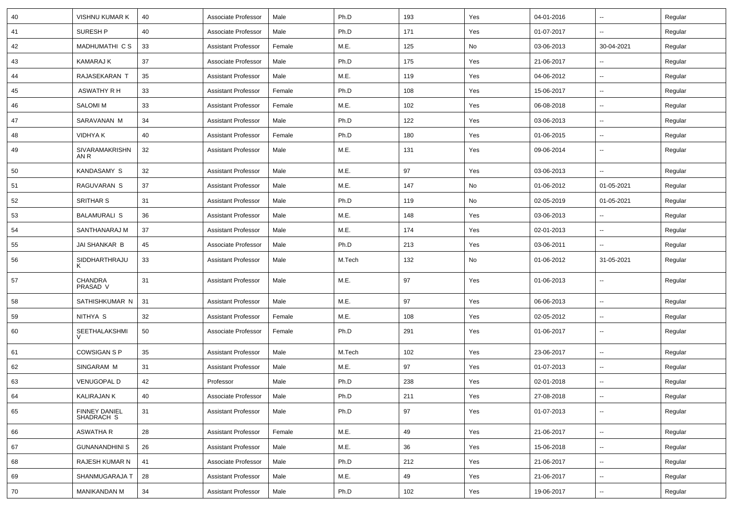| 40 | VISHNU KUMAR K                     | 40 | Associate Professor        | Male   | Ph.D   | 193 | Yes | 04-01-2016 | ⊶.                       | Regular |
|----|------------------------------------|----|----------------------------|--------|--------|-----|-----|------------|--------------------------|---------|
| 41 | <b>SURESH P</b>                    | 40 | Associate Professor        | Male   | Ph.D   | 171 | Yes | 01-07-2017 | -−                       | Regular |
| 42 | MADHUMATHI C S                     | 33 | <b>Assistant Professor</b> | Female | M.E.   | 125 | No  | 03-06-2013 | 30-04-2021               | Regular |
| 43 | KAMARAJ K                          | 37 | Associate Professor        | Male   | Ph.D   | 175 | Yes | 21-06-2017 | -−                       | Regular |
| 44 | RAJASEKARAN T                      | 35 | <b>Assistant Professor</b> | Male   | M.E.   | 119 | Yes | 04-06-2012 | --                       | Regular |
| 45 | ASWATHY R H                        | 33 | <b>Assistant Professor</b> | Female | Ph.D   | 108 | Yes | 15-06-2017 | $\sim$                   | Regular |
| 46 | <b>SALOMI M</b>                    | 33 | <b>Assistant Professor</b> | Female | M.E.   | 102 | Yes | 06-08-2018 | ⊶.                       | Regular |
| 47 | SARAVANAN M                        | 34 | <b>Assistant Professor</b> | Male   | Ph.D   | 122 | Yes | 03-06-2013 | ⊶.                       | Regular |
| 48 | VIDHYA K                           | 40 | <b>Assistant Professor</b> | Female | Ph.D   | 180 | Yes | 01-06-2015 | ⊷.                       | Regular |
| 49 | SIVARAMAKRISHN<br>AN R             | 32 | <b>Assistant Professor</b> | Male   | M.E.   | 131 | Yes | 09-06-2014 | $\overline{\phantom{a}}$ | Regular |
| 50 | <b>KANDASAMY S</b>                 | 32 | <b>Assistant Professor</b> | Male   | M.E.   | 97  | Yes | 03-06-2013 | $\overline{\phantom{a}}$ | Regular |
| 51 | <b>RAGUVARAN S</b>                 | 37 | <b>Assistant Professor</b> | Male   | M.E.   | 147 | No  | 01-06-2012 | 01-05-2021               | Regular |
| 52 | <b>SRITHAR S</b>                   | 31 | <b>Assistant Professor</b> | Male   | Ph.D   | 119 | No  | 02-05-2019 | 01-05-2021               | Regular |
| 53 | <b>BALAMURALI S</b>                | 36 | <b>Assistant Professor</b> | Male   | M.E.   | 148 | Yes | 03-06-2013 | $\overline{\phantom{a}}$ | Regular |
| 54 | SANTHANARAJ M                      | 37 | <b>Assistant Professor</b> | Male   | M.E.   | 174 | Yes | 02-01-2013 | ⊷.                       | Regular |
| 55 | JAI SHANKAR B                      | 45 | Associate Professor        | Male   | Ph.D   | 213 | Yes | 03-06-2011 | ⊷.                       | Regular |
| 56 | SIDDHARTHRAJU<br>K                 | 33 | <b>Assistant Professor</b> | Male   | M.Tech | 132 | No  | 01-06-2012 | 31-05-2021               | Regular |
| 57 | CHANDRA<br>PRASAD V                | 31 | <b>Assistant Professor</b> | Male   | M.E.   | 97  | Yes | 01-06-2013 | --                       | Regular |
| 58 | SATHISHKUMAR N                     | 31 | <b>Assistant Professor</b> | Male   | M.E.   | 97  | Yes | 06-06-2013 | --                       | Regular |
| 59 | NITHYA S                           | 32 | <b>Assistant Professor</b> | Female | M.E.   | 108 | Yes | 02-05-2012 | -−                       | Regular |
| 60 | SEETHALAKSHMI                      | 50 | Associate Professor        | Female | Ph.D   | 291 | Yes | 01-06-2017 | $\sim$                   | Regular |
| 61 | <b>COWSIGAN S P</b>                | 35 | <b>Assistant Professor</b> | Male   | M.Tech | 102 | Yes | 23-06-2017 | $\overline{\phantom{a}}$ | Regular |
| 62 | SINGARAM M                         | 31 | <b>Assistant Professor</b> | Male   | M.E.   | 97  | Yes | 01-07-2013 | ⊶.                       | Regular |
| 63 | <b>VENUGOPAL D</b>                 | 42 | Professor                  | Male   | Ph.D   | 238 | Yes | 02-01-2018 | -−                       | Regular |
| 64 | <b>KALIRAJAN K</b>                 | 40 | Associate Professor        | Male   | Ph.D   | 211 | Yes | 27-08-2018 | ⊷.                       | Regular |
| 65 | <b>FINNEY DANIEL</b><br>SHADRACH S | 31 | Assistant Professor        | Male   | Ph.D   | 97  | Yes | 01-07-2013 | $\overline{\phantom{a}}$ | Regular |
| 66 | <b>ASWATHA R</b>                   | 28 | <b>Assistant Professor</b> | Female | M.E.   | 49  | Yes | 21-06-2017 | ⊶.                       | Regular |
| 67 | <b>GUNANANDHINI S</b>              | 26 | <b>Assistant Professor</b> | Male   | M.E.   | 36  | Yes | 15-06-2018 | ⊷.                       | Regular |
| 68 | RAJESH KUMAR N                     | 41 | Associate Professor        | Male   | Ph.D   | 212 | Yes | 21-06-2017 | Щ,                       | Regular |
| 69 | SHANMUGARAJA T                     | 28 | <b>Assistant Professor</b> | Male   | M.E.   | 49  | Yes | 21-06-2017 | $\overline{\phantom{a}}$ | Regular |
| 70 | MANIKANDAN M                       | 34 | <b>Assistant Professor</b> | Male   | Ph.D   | 102 | Yes | 19-06-2017 | ⊶.                       | Regular |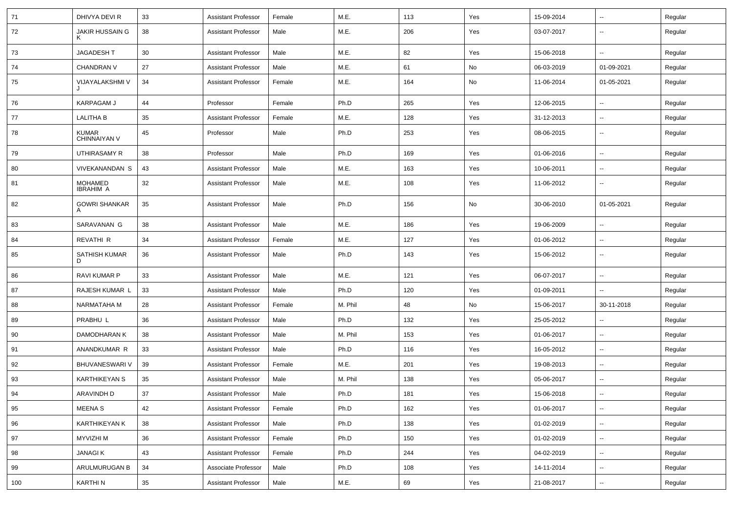| 71  | DHIVYA DEVI R                | 33 | <b>Assistant Professor</b> | Female | M.E.    | 113 | Yes | 15-09-2014 | $\overline{\phantom{a}}$ | Regular |
|-----|------------------------------|----|----------------------------|--------|---------|-----|-----|------------|--------------------------|---------|
| 72  | JAKIR HUSSAIN G<br>ĸ         | 38 | <b>Assistant Professor</b> | Male   | M.E.    | 206 | Yes | 03-07-2017 | Ξ.                       | Regular |
| 73  | JAGADESH T                   | 30 | <b>Assistant Professor</b> | Male   | M.E.    | 82  | Yes | 15-06-2018 | $\sim$                   | Regular |
| 74  | <b>CHANDRAN V</b>            | 27 | <b>Assistant Professor</b> | Male   | M.E.    | 61  | No  | 06-03-2019 | 01-09-2021               | Regular |
| 75  | VIJAYALAKSHMI V              | 34 | <b>Assistant Professor</b> | Female | M.E.    | 164 | No  | 11-06-2014 | 01-05-2021               | Regular |
| 76  | KARPAGAM J                   | 44 | Professor                  | Female | Ph.D    | 265 | Yes | 12-06-2015 | --                       | Regular |
| 77  | <b>LALITHA B</b>             | 35 | <b>Assistant Professor</b> | Female | M.E.    | 128 | Yes | 31-12-2013 | $\sim$                   | Regular |
| 78  | <b>KUMAR</b><br>CHINNAIYAN V | 45 | Professor                  | Male   | Ph.D    | 253 | Yes | 08-06-2015 | $\overline{\phantom{a}}$ | Regular |
| 79  | UTHIRASAMY R                 | 38 | Professor                  | Male   | Ph.D    | 169 | Yes | 01-06-2016 | $\sim$                   | Regular |
| 80  | VIVEKANANDAN S               | 43 | <b>Assistant Professor</b> | Male   | M.E.    | 163 | Yes | 10-06-2011 | $\overline{\phantom{a}}$ | Regular |
| 81  | MOHAMED<br><b>IBRAHIM A</b>  | 32 | <b>Assistant Professor</b> | Male   | M.E.    | 108 | Yes | 11-06-2012 | Щ,                       | Regular |
| 82  | <b>GOWRI SHANKAR</b><br>A    | 35 | Assistant Professor        | Male   | Ph.D    | 156 | No  | 30-06-2010 | 01-05-2021               | Regular |
| 83  | SARAVANAN G                  | 38 | <b>Assistant Professor</b> | Male   | M.E.    | 186 | Yes | 19-06-2009 | Ξ.                       | Regular |
| 84  | REVATHI R                    | 34 | <b>Assistant Professor</b> | Female | M.E.    | 127 | Yes | 01-06-2012 | --                       | Regular |
| 85  | SATHISH KUMAR<br>D           | 36 | <b>Assistant Professor</b> | Male   | Ph.D    | 143 | Yes | 15-06-2012 | $\overline{\phantom{a}}$ | Regular |
| 86  | <b>RAVI KUMAR P</b>          | 33 | <b>Assistant Professor</b> | Male   | M.E.    | 121 | Yes | 06-07-2017 | $\overline{\phantom{a}}$ | Regular |
| 87  | RAJESH KUMAR L               | 33 | <b>Assistant Professor</b> | Male   | Ph.D    | 120 | Yes | 01-09-2011 | Ξ.                       | Regular |
| 88  | NARMATAHA M                  | 28 | <b>Assistant Professor</b> | Female | M. Phil | 48  | No  | 15-06-2017 | 30-11-2018               | Regular |
| 89  | PRABHU L                     | 36 | <b>Assistant Professor</b> | Male   | Ph.D    | 132 | Yes | 25-05-2012 | --                       | Regular |
| 90  | DAMODHARAN K                 | 38 | <b>Assistant Professor</b> | Male   | M. Phil | 153 | Yes | 01-06-2017 | Ξ.                       | Regular |
| 91  | ANANDKUMAR R                 | 33 | <b>Assistant Professor</b> | Male   | Ph.D    | 116 | Yes | 16-05-2012 | $\overline{\phantom{a}}$ | Regular |
| 92  | <b>BHUVANESWARI V</b>        | 39 | <b>Assistant Professor</b> | Female | M.E.    | 201 | Yes | 19-08-2013 | $\overline{\phantom{a}}$ | Regular |
| 93  | <b>KARTHIKEYAN S</b>         | 35 | <b>Assistant Professor</b> | Male   | M. Phil | 138 | Yes | 05-06-2017 | Ξ.                       | Regular |
| 94  | ARAVINDH D                   | 37 | <b>Assistant Professor</b> | Male   | Ph.D    | 181 | Yes | 15-06-2018 | $\overline{\phantom{a}}$ | Regular |
| 95  | <b>MEENAS</b>                | 42 | <b>Assistant Professor</b> | Female | Ph.D    | 162 | Yes | 01-06-2017 | $\overline{\phantom{a}}$ | Regular |
| 96  | KARTHIKEYAN K                | 38 | <b>Assistant Professor</b> | Male   | Ph.D    | 138 | Yes | 01-02-2019 | Ц.                       | Regular |
| 97  | MYVIZHI M                    | 36 | <b>Assistant Professor</b> | Female | Ph.D    | 150 | Yes | 01-02-2019 | --                       | Regular |
| 98  | <b>JANAGIK</b>               | 43 | <b>Assistant Professor</b> | Female | Ph.D    | 244 | Yes | 04-02-2019 | $\overline{\phantom{a}}$ | Regular |
| 99  | ARULMURUGAN B                | 34 | Associate Professor        | Male   | Ph.D    | 108 | Yes | 14-11-2014 | $\overline{\phantom{a}}$ | Regular |
| 100 | KARTHI N                     | 35 | <b>Assistant Professor</b> | Male   | M.E.    | 69  | Yes | 21-08-2017 | --                       | Regular |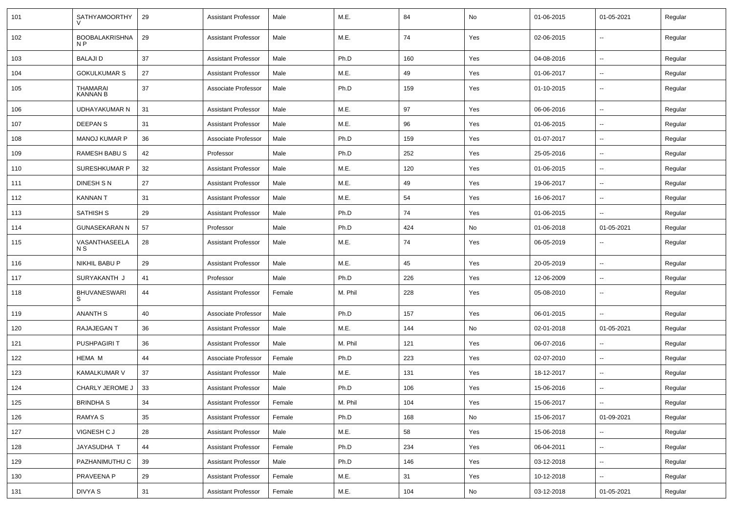| 101 | <b>SATHYAMOORTHY</b>                    | 29 | <b>Assistant Professor</b> | Male   | M.E.    | 84  | No  | 01-06-2015 | 01-05-2021               | Regular |
|-----|-----------------------------------------|----|----------------------------|--------|---------|-----|-----|------------|--------------------------|---------|
| 102 | <b>BOOBALAKRISHNA</b><br>N <sub>P</sub> | 29 | <b>Assistant Professor</b> | Male   | M.E.    | 74  | Yes | 02-06-2015 | $\overline{\phantom{a}}$ | Regular |
| 103 | <b>BALAJID</b>                          | 37 | <b>Assistant Professor</b> | Male   | Ph.D    | 160 | Yes | 04-08-2016 | $\sim$                   | Regular |
| 104 | <b>GOKULKUMAR S</b>                     | 27 | <b>Assistant Professor</b> | Male   | M.E.    | 49  | Yes | 01-06-2017 | $\overline{\phantom{a}}$ | Regular |
| 105 | <b>THAMARAI</b><br><b>KANNAN B</b>      | 37 | Associate Professor        | Male   | Ph.D    | 159 | Yes | 01-10-2015 | --                       | Regular |
| 106 | UDHAYAKUMAR N                           | 31 | <b>Assistant Professor</b> | Male   | M.E.    | 97  | Yes | 06-06-2016 | $\overline{\phantom{a}}$ | Regular |
| 107 | <b>DEEPANS</b>                          | 31 | <b>Assistant Professor</b> | Male   | M.E.    | 96  | Yes | 01-06-2015 | --                       | Regular |
| 108 | <b>MANOJ KUMAR P</b>                    | 36 | Associate Professor        | Male   | Ph.D    | 159 | Yes | 01-07-2017 | $\overline{\phantom{a}}$ | Regular |
| 109 | <b>RAMESH BABU S</b>                    | 42 | Professor                  | Male   | Ph.D    | 252 | Yes | 25-05-2016 | $\overline{\phantom{a}}$ | Regular |
| 110 | SURESHKUMAR P                           | 32 | <b>Assistant Professor</b> | Male   | M.E.    | 120 | Yes | 01-06-2015 | Ξ.                       | Regular |
| 111 | DINESH S N                              | 27 | <b>Assistant Professor</b> | Male   | M.E.    | 49  | Yes | 19-06-2017 | --                       | Regular |
| 112 | <b>KANNAN T</b>                         | 31 | <b>Assistant Professor</b> | Male   | M.E.    | 54  | Yes | 16-06-2017 | $\overline{\phantom{a}}$ | Regular |
| 113 | SATHISH S                               | 29 | <b>Assistant Professor</b> | Male   | Ph.D    | 74  | Yes | 01-06-2015 | --                       | Regular |
| 114 | <b>GUNASEKARAN N</b>                    | 57 | Professor                  | Male   | Ph.D    | 424 | No  | 01-06-2018 | 01-05-2021               | Regular |
| 115 | VASANTHASEELA<br>N S                    | 28 | <b>Assistant Professor</b> | Male   | M.E.    | 74  | Yes | 06-05-2019 | $\overline{\phantom{a}}$ | Regular |
| 116 | NIKHIL BABU P                           | 29 | <b>Assistant Professor</b> | Male   | M.E.    | 45  | Yes | 20-05-2019 | Ξ.                       | Regular |
| 117 | SURYAKANTH J                            | 41 | Professor                  | Male   | Ph.D    | 226 | Yes | 12-06-2009 | ⊷.                       | Regular |
| 118 | <b>BHUVANESWARI</b><br>S                | 44 | <b>Assistant Professor</b> | Female | M. Phil | 228 | Yes | 05-08-2010 | --                       | Regular |
| 119 | <b>ANANTH S</b>                         | 40 | Associate Professor        | Male   | Ph.D    | 157 | Yes | 06-01-2015 | Ξ.                       | Regular |
| 120 | RAJAJEGAN T                             | 36 | <b>Assistant Professor</b> | Male   | M.E.    | 144 | No  | 02-01-2018 | 01-05-2021               | Regular |
| 121 | <b>PUSHPAGIRIT</b>                      | 36 | <b>Assistant Professor</b> | Male   | M. Phil | 121 | Yes | 06-07-2016 | --                       | Regular |
| 122 | <b>HEMA M</b>                           | 44 | Associate Professor        | Female | Ph.D    | 223 | Yes | 02-07-2010 | --                       | Regular |
| 123 | <b>KAMALKUMAR V</b>                     | 37 | <b>Assistant Professor</b> | Male   | M.E.    | 131 | Yes | 18-12-2017 | $\overline{\phantom{a}}$ | Regular |
| 124 | CHARLY JEROME J                         | 33 | <b>Assistant Professor</b> | Male   | Ph.D    | 106 | Yes | 15-06-2016 | $\sim$                   | Regular |
| 125 | <b>BRINDHAS</b>                         | 34 | Assistant Professor        | Female | M. Phil | 104 | Yes | 15-06-2017 | $\sim$                   | Regular |
| 126 | RAMYA S                                 | 35 | <b>Assistant Professor</b> | Female | Ph.D    | 168 | No  | 15-06-2017 | 01-09-2021               | Regular |
| 127 | VIGNESH C J                             | 28 | <b>Assistant Professor</b> | Male   | M.E.    | 58  | Yes | 15-06-2018 |                          | Regular |
| 128 | JAYASUDHA T                             | 44 | <b>Assistant Professor</b> | Female | Ph.D    | 234 | Yes | 06-04-2011 | Ξ.                       | Regular |
| 129 | PAZHANIMUTHU C                          | 39 | <b>Assistant Professor</b> | Male   | Ph.D    | 146 | Yes | 03-12-2018 | $\sim$                   | Regular |
| 130 | PRAVEENA P                              | 29 | <b>Assistant Professor</b> | Female | M.E.    | 31  | Yes | 10-12-2018 | $\sim$                   | Regular |
| 131 | DIVYA S                                 | 31 | <b>Assistant Professor</b> | Female | M.E.    | 104 | No  | 03-12-2018 | 01-05-2021               | Regular |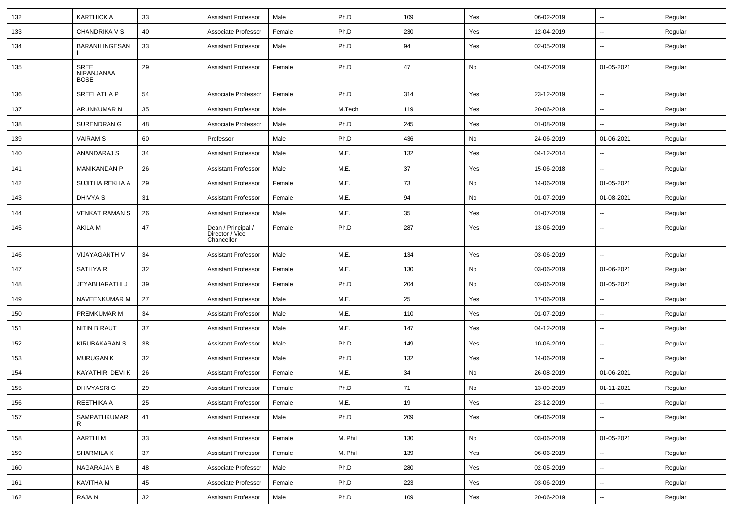| 132 | <b>KARTHICK A</b>                        | 33 | <b>Assistant Professor</b>                          | Male   | Ph.D    | 109 | Yes | 06-02-2019 | $\overline{\phantom{a}}$ | Regular |
|-----|------------------------------------------|----|-----------------------------------------------------|--------|---------|-----|-----|------------|--------------------------|---------|
| 133 | <b>CHANDRIKA V S</b>                     | 40 | Associate Professor                                 | Female | Ph.D    | 230 | Yes | 12-04-2019 | --                       | Regular |
| 134 | <b>BARANILINGESAN</b>                    | 33 | <b>Assistant Professor</b>                          | Male   | Ph.D    | 94  | Yes | 02-05-2019 | --                       | Regular |
| 135 | <b>SREE</b><br>NIRANJANAA<br><b>BOSE</b> | 29 | <b>Assistant Professor</b>                          | Female | Ph.D    | 47  | No  | 04-07-2019 | 01-05-2021               | Regular |
| 136 | SREELATHA P                              | 54 | Associate Professor                                 | Female | Ph.D    | 314 | Yes | 23-12-2019 | $\overline{\phantom{a}}$ | Regular |
| 137 | ARUNKUMAR N                              | 35 | <b>Assistant Professor</b>                          | Male   | M.Tech  | 119 | Yes | 20-06-2019 | --                       | Regular |
| 138 | <b>SURENDRAN G</b>                       | 48 | Associate Professor                                 | Male   | Ph.D    | 245 | Yes | 01-08-2019 | --                       | Regular |
| 139 | <b>VAIRAM S</b>                          | 60 | Professor                                           | Male   | Ph.D    | 436 | No  | 24-06-2019 | 01-06-2021               | Regular |
| 140 | ANANDARAJ S                              | 34 | <b>Assistant Professor</b>                          | Male   | M.E.    | 132 | Yes | 04-12-2014 | --                       | Regular |
| 141 | <b>MANIKANDAN P</b>                      | 26 | <b>Assistant Professor</b>                          | Male   | M.E.    | 37  | Yes | 15-06-2018 | $-$                      | Regular |
| 142 | SUJITHA REKHA A                          | 29 | <b>Assistant Professor</b>                          | Female | M.E.    | 73  | No  | 14-06-2019 | 01-05-2021               | Regular |
| 143 | DHIVYA S                                 | 31 | <b>Assistant Professor</b>                          | Female | M.E.    | 94  | No  | 01-07-2019 | 01-08-2021               | Regular |
| 144 | <b>VENKAT RAMAN S</b>                    | 26 | <b>Assistant Professor</b>                          | Male   | M.E.    | 35  | Yes | 01-07-2019 | $\overline{\phantom{a}}$ | Regular |
| 145 | <b>AKILA M</b>                           | 47 | Dean / Principal /<br>Director / Vice<br>Chancellor | Female | Ph.D    | 287 | Yes | 13-06-2019 | --                       | Regular |
| 146 | VIJAYAGANTH V                            | 34 | <b>Assistant Professor</b>                          | Male   | M.E.    | 134 | Yes | 03-06-2019 | --                       | Regular |
| 147 | SATHYA R                                 | 32 | <b>Assistant Professor</b>                          | Female | M.E.    | 130 | No  | 03-06-2019 | 01-06-2021               | Regular |
| 148 | JEYABHARATHI J                           | 39 | <b>Assistant Professor</b>                          | Female | Ph.D    | 204 | No  | 03-06-2019 | 01-05-2021               | Regular |
| 149 | NAVEENKUMAR M                            | 27 | <b>Assistant Professor</b>                          | Male   | M.E.    | 25  | Yes | 17-06-2019 | --                       | Regular |
| 150 | PREMKUMAR M                              | 34 | <b>Assistant Professor</b>                          | Male   | M.E.    | 110 | Yes | 01-07-2019 | ⊷.                       | Regular |
| 151 | NITIN B RAUT                             | 37 | <b>Assistant Professor</b>                          | Male   | M.E.    | 147 | Yes | 04-12-2019 | $\overline{\phantom{a}}$ | Regular |
| 152 | KIRUBAKARAN S                            | 38 | <b>Assistant Professor</b>                          | Male   | Ph.D    | 149 | Yes | 10-06-2019 | --                       | Regular |
| 153 | <b>MURUGAN K</b>                         | 32 | <b>Assistant Professor</b>                          | Male   | Ph.D    | 132 | Yes | 14-06-2019 |                          | Regular |
| 154 | KAYATHIRI DEVI K                         | 26 | <b>Assistant Professor</b>                          | Female | M.E.    | 34  | No  | 26-08-2019 | 01-06-2021               | Regular |
| 155 | DHIVYASRI G                              | 29 | <b>Assistant Professor</b>                          | Female | Ph.D    | 71  | No  | 13-09-2019 | 01-11-2021               | Regular |
| 156 | REETHIKA A                               | 25 | <b>Assistant Professor</b>                          | Female | M.E.    | 19  | Yes | 23-12-2019 | $\sim$                   | Regular |
| 157 | SAMPATHKUMAR<br>R                        | 41 | <b>Assistant Professor</b>                          | Male   | Ph.D    | 209 | Yes | 06-06-2019 | ⊷.                       | Regular |
| 158 | <b>AARTHIM</b>                           | 33 | <b>Assistant Professor</b>                          | Female | M. Phil | 130 | No  | 03-06-2019 | 01-05-2021               | Regular |
| 159 | <b>SHARMILA K</b>                        | 37 | <b>Assistant Professor</b>                          | Female | M. Phil | 139 | Yes | 06-06-2019 | $\overline{\phantom{a}}$ | Regular |
| 160 | NAGARAJAN B                              | 48 | Associate Professor                                 | Male   | Ph.D    | 280 | Yes | 02-05-2019 | $\sim$                   | Regular |
| 161 | KAVITHA M                                | 45 | Associate Professor                                 | Female | Ph.D    | 223 | Yes | 03-06-2019 | Ξ.                       | Regular |
| 162 | RAJA N                                   | 32 | <b>Assistant Professor</b>                          | Male   | Ph.D    | 109 | Yes | 20-06-2019 | $\overline{\phantom{a}}$ | Regular |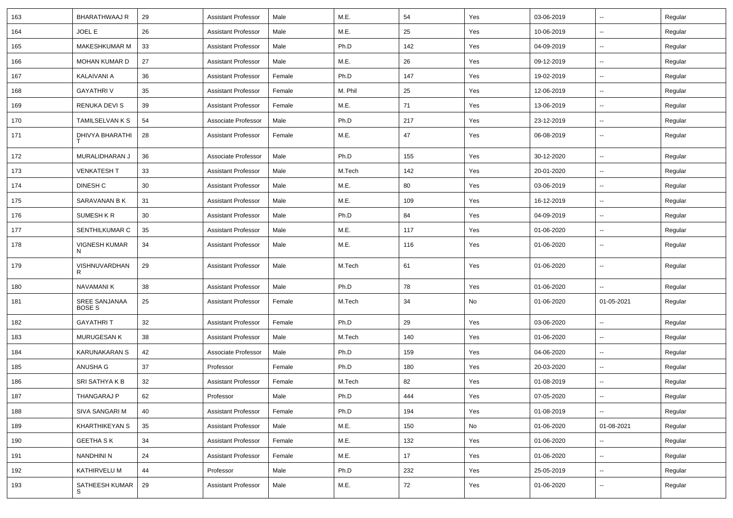| 163 | BHARATHWAAJ R                  | 29 | <b>Assistant Professor</b> | Male   | M.E.    | 54  | Yes | 03-06-2019 | $\overline{\phantom{a}}$ | Regular |
|-----|--------------------------------|----|----------------------------|--------|---------|-----|-----|------------|--------------------------|---------|
| 164 | JOEL E                         | 26 | <b>Assistant Professor</b> | Male   | M.E.    | 25  | Yes | 10-06-2019 | ⊷.                       | Regular |
| 165 | MAKESHKUMAR M                  | 33 | <b>Assistant Professor</b> | Male   | Ph.D    | 142 | Yes | 04-09-2019 | $\overline{\phantom{a}}$ | Regular |
| 166 | <b>MOHAN KUMAR D</b>           | 27 | <b>Assistant Professor</b> | Male   | M.E.    | 26  | Yes | 09-12-2019 | $\overline{\phantom{a}}$ | Regular |
| 167 | KALAIVANI A                    | 36 | <b>Assistant Professor</b> | Female | Ph.D    | 147 | Yes | 19-02-2019 | -−                       | Regular |
| 168 | <b>GAYATHRI V</b>              | 35 | <b>Assistant Professor</b> | Female | M. Phil | 25  | Yes | 12-06-2019 | $\overline{\phantom{a}}$ | Regular |
| 169 | <b>RENUKA DEVIS</b>            | 39 | <b>Assistant Professor</b> | Female | M.E.    | 71  | Yes | 13-06-2019 | ⊷.                       | Regular |
| 170 | <b>TAMILSELVAN K S</b>         | 54 | Associate Professor        | Male   | Ph.D    | 217 | Yes | 23-12-2019 | ⊷.                       | Regular |
| 171 | DHIVYA BHARATHI                | 28 | <b>Assistant Professor</b> | Female | M.E.    | 47  | Yes | 06-08-2019 | $\overline{\phantom{a}}$ | Regular |
| 172 | MURALIDHARAN J                 | 36 | Associate Professor        | Male   | Ph.D    | 155 | Yes | 30-12-2020 | $\sim$                   | Regular |
| 173 | <b>VENKATESH T</b>             | 33 | <b>Assistant Professor</b> | Male   | M.Tech  | 142 | Yes | 20-01-2020 | --                       | Regular |
| 174 | DINESH C                       | 30 | <b>Assistant Professor</b> | Male   | M.E.    | 80  | Yes | 03-06-2019 | $\overline{\phantom{a}}$ | Regular |
| 175 | SARAVANAN B K                  | 31 | <b>Assistant Professor</b> | Male   | M.E.    | 109 | Yes | 16-12-2019 | $\mathbf{u}$             | Regular |
| 176 | SUMESH K R                     | 30 | <b>Assistant Professor</b> | Male   | Ph.D    | 84  | Yes | 04-09-2019 | $\overline{\phantom{a}}$ | Regular |
| 177 | SENTHILKUMAR C                 | 35 | <b>Assistant Professor</b> | Male   | M.E.    | 117 | Yes | 01-06-2020 | ⊷.                       | Regular |
| 178 | <b>VIGNESH KUMAR</b><br>N      | 34 | <b>Assistant Professor</b> | Male   | M.E.    | 116 | Yes | 01-06-2020 | ⊷.                       | Regular |
| 179 | VISHNUVARDHAN<br>R             | 29 | <b>Assistant Professor</b> | Male   | M.Tech  | 61  | Yes | 01-06-2020 | --                       | Regular |
| 180 | NAVAMANI K                     | 38 | <b>Assistant Professor</b> | Male   | Ph.D    | 78  | Yes | 01-06-2020 | --                       | Regular |
| 181 | SREE SANJANAA<br><b>BOSE S</b> | 25 | <b>Assistant Professor</b> | Female | M.Tech  | 34  | No  | 01-06-2020 | 01-05-2021               | Regular |
| 182 | <b>GAYATHRIT</b>               | 32 | <b>Assistant Professor</b> | Female | Ph.D    | 29  | Yes | 03-06-2020 | -−                       | Regular |
| 183 | MURUGESAN K                    | 38 | <b>Assistant Professor</b> | Male   | M.Tech  | 140 | Yes | 01-06-2020 | $\overline{\phantom{a}}$ | Regular |
| 184 | KARUNAKARAN S                  | 42 | Associate Professor        | Male   | Ph.D    | 159 | Yes | 04-06-2020 | $\overline{\phantom{a}}$ | Regular |
| 185 | ANUSHA G                       | 37 | Professor                  | Female | Ph.D    | 180 | Yes | 20-03-2020 | $\overline{\phantom{a}}$ | Regular |
| 186 | SRI SATHYA K B                 | 32 | <b>Assistant Professor</b> | Female | M.Tech  | 82  | Yes | 01-08-2019 | ⊷.                       | Regular |
| 187 | THANGARAJ P                    | 62 | Professor                  | Male   | Ph.D    | 444 | Yes | 07-05-2020 | $\overline{\phantom{a}}$ | Regular |
| 188 | SIVA SANGARI M                 | 40 | <b>Assistant Professor</b> | Female | Ph.D    | 194 | Yes | 01-08-2019 | $\sim$                   | Regular |
| 189 | KHARTHIKEYAN S                 | 35 | <b>Assistant Professor</b> | Male   | M.E.    | 150 | No  | 01-06-2020 | 01-08-2021               | Regular |
| 190 | <b>GEETHA SK</b>               | 34 | <b>Assistant Professor</b> | Female | M.E.    | 132 | Yes | 01-06-2020 |                          | Regular |
| 191 | <b>NANDHINI N</b>              | 24 | <b>Assistant Professor</b> | Female | M.E.    | 17  | Yes | 01-06-2020 | $\sim$                   | Regular |
| 192 | KATHIRVELU M                   | 44 | Professor                  | Male   | Ph.D    | 232 | Yes | 25-05-2019 | ⊷.                       | Regular |
| 193 | SATHEESH KUMAR<br>S            | 29 | <b>Assistant Professor</b> | Male   | M.E.    | 72  | Yes | 01-06-2020 | --                       | Regular |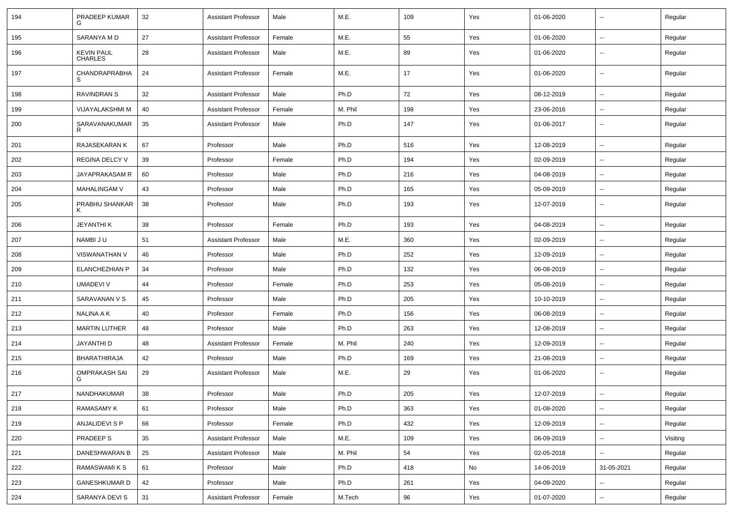| 194 | PRADEEP KUMAR<br>G    | 32 | <b>Assistant Professor</b> | Male   | M.E.    | 109 | Yes | 01-06-2020 | $\overline{\phantom{a}}$ | Regular  |
|-----|-----------------------|----|----------------------------|--------|---------|-----|-----|------------|--------------------------|----------|
| 195 | SARANYA M D           | 27 | <b>Assistant Professor</b> | Female | M.E.    | 55  | Yes | 01-06-2020 | $\sim$                   | Regular  |
| 196 | KEVIN PAUL<br>CHARLES | 28 | <b>Assistant Professor</b> | Male   | M.E.    | 89  | Yes | 01-06-2020 | --                       | Regular  |
| 197 | CHANDRAPRABHA<br>S    | 24 | <b>Assistant Professor</b> | Female | M.E.    | 17  | Yes | 01-06-2020 | ⊷.                       | Regular  |
| 198 | <b>RAVINDRAN S</b>    | 32 | <b>Assistant Professor</b> | Male   | Ph.D    | 72  | Yes | 08-12-2019 | $\overline{\phantom{a}}$ | Regular  |
| 199 | VIJAYALAKSHMI M       | 40 | <b>Assistant Professor</b> | Female | M. Phil | 198 | Yes | 23-06-2016 | $\overline{\phantom{a}}$ | Regular  |
| 200 | SARAVANAKUMAR<br>R    | 35 | <b>Assistant Professor</b> | Male   | Ph.D    | 147 | Yes | 01-06-2017 | ⊷.                       | Regular  |
| 201 | RAJASEKARAN K         | 67 | Professor                  | Male   | Ph.D    | 516 | Yes | 12-08-2019 | $\overline{\phantom{a}}$ | Regular  |
| 202 | REGINA DELCY V        | 39 | Professor                  | Female | Ph.D    | 194 | Yes | 02-09-2019 | -−                       | Regular  |
| 203 | JAYAPRAKASAM R        | 60 | Professor                  | Male   | Ph.D    | 216 | Yes | 04-08-2019 | ⊷.                       | Regular  |
| 204 | <b>MAHALINGAM V</b>   | 43 | Professor                  | Male   | Ph.D    | 165 | Yes | 05-09-2019 | $\sim$                   | Regular  |
| 205 | PRABHU SHANKAR<br>K   | 38 | Professor                  | Male   | Ph.D    | 193 | Yes | 12-07-2019 | $\overline{\phantom{a}}$ | Regular  |
| 206 | <b>JEYANTHIK</b>      | 38 | Professor                  | Female | Ph.D    | 193 | Yes | 04-08-2019 | $\overline{\phantom{a}}$ | Regular  |
| 207 | NAMBI JU              | 51 | <b>Assistant Professor</b> | Male   | M.E.    | 360 | Yes | 02-09-2019 | $\overline{\phantom{a}}$ | Regular  |
| 208 | <b>VISWANATHAN V</b>  | 46 | Professor                  | Male   | Ph.D    | 252 | Yes | 12-09-2019 | --                       | Regular  |
| 209 | ELANCHEZHIAN P        | 34 | Professor                  | Male   | Ph.D    | 132 | Yes | 06-08-2019 | $\overline{\phantom{a}}$ | Regular  |
| 210 | <b>UMADEVI V</b>      | 44 | Professor                  | Female | Ph.D    | 253 | Yes | 05-08-2019 | Ξ.                       | Regular  |
| 211 | SARAVANAN V S         | 45 | Professor                  | Male   | Ph.D    | 205 | Yes | 10-10-2019 | ⊷.                       | Regular  |
| 212 | <b>NALINA A K</b>     | 40 | Professor                  | Female | Ph.D    | 156 | Yes | 06-08-2019 | $\sim$                   | Regular  |
| 213 | <b>MARTIN LUTHER</b>  | 48 | Professor                  | Male   | Ph.D    | 263 | Yes | 12-08-2019 | ⊷.                       | Regular  |
| 214 | JAYANTHI D            | 48 | <b>Assistant Professor</b> | Female | M. Phil | 240 | Yes | 12-09-2019 | --                       | Regular  |
| 215 | <b>BHARATHIRAJA</b>   | 42 | Professor                  | Male   | Ph.D    | 169 | Yes | 21-08-2019 | -−                       | Regular  |
| 216 | OMPRAKASH SAI<br>G    | 29 | <b>Assistant Professor</b> | Male   | M.E.    | 29  | Yes | 01-06-2020 | ⊷.                       | Regular  |
| 217 | NANDHAKUMAR           | 38 | Professor                  | Male   | Ph.D    | 205 | Yes | 12-07-2019 | Ξ.                       | Regular  |
| 218 | RAMASAMY K            | 61 | Professor                  | Male   | Ph.D    | 363 | Yes | 01-08-2020 | $\sim$                   | Regular  |
| 219 | ANJALIDEVI S P        | 66 | Professor                  | Female | Ph.D    | 432 | Yes | 12-09-2019 | щ.                       | Regular  |
| 220 | PRADEEP S             | 35 | <b>Assistant Professor</b> | Male   | M.E.    | 109 | Yes | 06-09-2019 | $\sim$                   | Visiting |
| 221 | DANESHWARAN B         | 25 | <b>Assistant Professor</b> | Male   | M. Phil | 54  | Yes | 02-05-2018 | $\sim$                   | Regular  |
| 222 | RAMASWAMI K S         | 61 | Professor                  | Male   | Ph.D    | 418 | No  | 14-06-2019 | 31-05-2021               | Regular  |
| 223 | GANESHKUMAR D         | 42 | Professor                  | Male   | Ph.D    | 261 | Yes | 04-09-2020 | ш,                       | Regular  |
| 224 | SARANYA DEVI S        | 31 | <b>Assistant Professor</b> | Female | M.Tech  | 96  | Yes | 01-07-2020 | $\overline{\phantom{a}}$ | Regular  |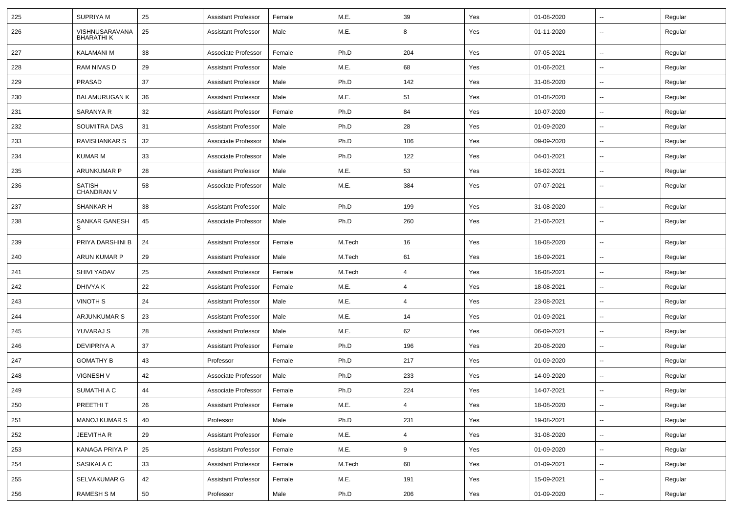| 225 | <b>SUPRIYAM</b>                    | 25 | <b>Assistant Professor</b> | Female | M.E.   | 39             | Yes | 01-08-2020 | $\overline{\phantom{a}}$ | Regular |
|-----|------------------------------------|----|----------------------------|--------|--------|----------------|-----|------------|--------------------------|---------|
| 226 | VISHNUSARAVANA<br><b>BHARATHIK</b> | 25 | <b>Assistant Professor</b> | Male   | M.E.   | 8              | Yes | 01-11-2020 | --                       | Regular |
| 227 | <b>KALAMANI M</b>                  | 38 | Associate Professor        | Female | Ph.D   | 204            | Yes | 07-05-2021 | $\overline{\phantom{a}}$ | Regular |
| 228 | RAM NIVAS D                        | 29 | <b>Assistant Professor</b> | Male   | M.E.   | 68             | Yes | 01-06-2021 | --                       | Regular |
| 229 | PRASAD                             | 37 | <b>Assistant Professor</b> | Male   | Ph.D   | 142            | Yes | 31-08-2020 | --                       | Regular |
| 230 | <b>BALAMURUGAN K</b>               | 36 | <b>Assistant Professor</b> | Male   | M.E.   | 51             | Yes | 01-08-2020 | --                       | Regular |
| 231 | SARANYA R                          | 32 | <b>Assistant Professor</b> | Female | Ph.D   | 84             | Yes | 10-07-2020 | $\overline{\phantom{a}}$ | Regular |
| 232 | <b>SOUMITRA DAS</b>                | 31 | <b>Assistant Professor</b> | Male   | Ph.D   | 28             | Yes | 01-09-2020 | ⊷.                       | Regular |
| 233 | RAVISHANKAR S                      | 32 | Associate Professor        | Male   | Ph.D   | 106            | Yes | 09-09-2020 | --                       | Regular |
| 234 | <b>KUMAR M</b>                     | 33 | Associate Professor        | Male   | Ph.D   | 122            | Yes | 04-01-2021 | --                       | Regular |
| 235 | ARUNKUMAR P                        | 28 | <b>Assistant Professor</b> | Male   | M.E.   | 53             | Yes | 16-02-2021 | --                       | Regular |
| 236 | <b>SATISH</b><br><b>CHANDRAN V</b> | 58 | Associate Professor        | Male   | M.E.   | 384            | Yes | 07-07-2021 | --                       | Regular |
| 237 | SHANKAR H                          | 38 | <b>Assistant Professor</b> | Male   | Ph.D   | 199            | Yes | 31-08-2020 | --                       | Regular |
| 238 | <b>SANKAR GANESH</b><br>S          | 45 | Associate Professor        | Male   | Ph.D   | 260            | Yes | 21-06-2021 | ⊷.                       | Regular |
| 239 | PRIYA DARSHINI B                   | 24 | <b>Assistant Professor</b> | Female | M.Tech | 16             | Yes | 18-08-2020 | $\overline{\phantom{a}}$ | Regular |
| 240 | ARUN KUMAR P                       | 29 | <b>Assistant Professor</b> | Male   | M.Tech | 61             | Yes | 16-09-2021 | $\overline{\phantom{a}}$ | Regular |
| 241 | <b>SHIVI YADAV</b>                 | 25 | <b>Assistant Professor</b> | Female | M.Tech | $\overline{4}$ | Yes | 16-08-2021 | --                       | Regular |
| 242 | DHIVYA K                           | 22 | <b>Assistant Professor</b> | Female | M.E.   | 4              | Yes | 18-08-2021 | --                       | Regular |
| 243 | <b>VINOTH S</b>                    | 24 | <b>Assistant Professor</b> | Male   | M.E.   | 4              | Yes | 23-08-2021 | $\overline{\phantom{a}}$ | Regular |
| 244 | ARJUNKUMAR S                       | 23 | <b>Assistant Professor</b> | Male   | M.E.   | 14             | Yes | 01-09-2021 | $\overline{\phantom{a}}$ | Regular |
| 245 | YUVARAJ S                          | 28 | <b>Assistant Professor</b> | Male   | M.E.   | 62             | Yes | 06-09-2021 | $\overline{\phantom{a}}$ | Regular |
| 246 | <b>DEVIPRIYA A</b>                 | 37 | <b>Assistant Professor</b> | Female | Ph.D   | 196            | Yes | 20-08-2020 | ⊷.                       | Regular |
| 247 | <b>GOMATHY B</b>                   | 43 | Professor                  | Female | Ph.D   | 217            | Yes | 01-09-2020 | --                       | Regular |
| 248 | <b>VIGNESH V</b>                   | 42 | Associate Professor        | Male   | Ph.D   | 233            | Yes | 14-09-2020 | н.                       | Regular |
| 249 | SUMATHI A C                        | 44 | Associate Professor        | Female | Ph.D   | 224            | Yes | 14-07-2021 |                          | Regular |
| 250 | PREETHIT                           | 26 | <b>Assistant Professor</b> | Female | M.E.   | $\overline{4}$ | Yes | 18-08-2020 | $\overline{\phantom{a}}$ | Regular |
| 251 | <b>MANOJ KUMAR S</b>               | 40 | Professor                  | Male   | Ph.D   | 231            | Yes | 19-08-2021 | н.                       | Regular |
| 252 | JEEVITHA R                         | 29 | <b>Assistant Professor</b> | Female | M.E.   | $\overline{4}$ | Yes | 31-08-2020 | $\overline{\phantom{a}}$ | Regular |
| 253 | KANAGA PRIYA P                     | 25 | <b>Assistant Professor</b> | Female | M.E.   | 9              | Yes | 01-09-2020 | $\overline{\phantom{a}}$ | Regular |
| 254 | SASIKALA C                         | 33 | <b>Assistant Professor</b> | Female | M.Tech | 60             | Yes | 01-09-2021 | $\sim$                   | Regular |
| 255 | SELVAKUMAR G                       | 42 | <b>Assistant Professor</b> | Female | M.E.   | 191            | Yes | 15-09-2021 | ш,                       | Regular |
| 256 | RAMESH S M                         | 50 | Professor                  | Male   | Ph.D   | 206            | Yes | 01-09-2020 | $\sim$                   | Regular |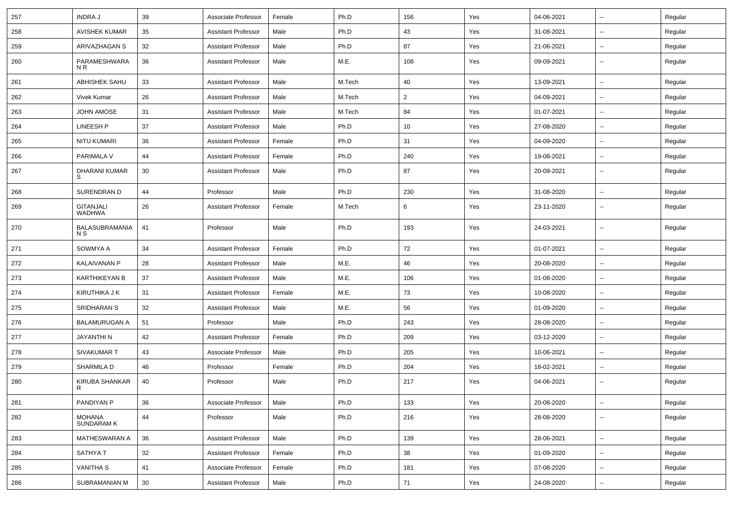| 257 | <b>INDRAJ</b>                     | 39 | Associate Professor        | Female | Ph.D   | 156            | Yes | 04-06-2021 | --                       | Regular |
|-----|-----------------------------------|----|----------------------------|--------|--------|----------------|-----|------------|--------------------------|---------|
| 258 | <b>AVISHEK KUMAR</b>              | 35 | <b>Assistant Professor</b> | Male   | Ph.D   | 43             | Yes | 31-08-2021 | -−                       | Regular |
| 259 | ARIVAZHAGAN S                     | 32 | <b>Assistant Professor</b> | Male   | Ph.D   | 87             | Yes | 21-06-2021 | $\overline{\phantom{a}}$ | Regular |
| 260 | PARAMESHWARA<br>N R               | 36 | <b>Assistant Professor</b> | Male   | M.E.   | 108            | Yes | 09-09-2021 | --                       | Regular |
| 261 | ABHISHEK SAHU                     | 33 | <b>Assistant Professor</b> | Male   | M.Tech | 40             | Yes | 13-09-2021 | -−                       | Regular |
| 262 | Vivek Kumar                       | 26 | <b>Assistant Professor</b> | Male   | M.Tech | $\overline{2}$ | Yes | 04-09-2021 | ⊷.                       | Regular |
| 263 | <b>JOHN AMOSE</b>                 | 31 | <b>Assistant Professor</b> | Male   | M.Tech | 84             | Yes | 01-07-2021 | ⊷.                       | Regular |
| 264 | LINEESH P                         | 37 | <b>Assistant Professor</b> | Male   | Ph.D   | 10             | Yes | 27-08-2020 | н.                       | Regular |
| 265 | NITU KUMARI                       | 36 | <b>Assistant Professor</b> | Female | Ph.D   | 31             | Yes | 04-09-2020 | -−                       | Regular |
| 266 | PARIMALA V                        | 44 | <b>Assistant Professor</b> | Female | Ph.D   | 240            | Yes | 19-08-2021 | --                       | Regular |
| 267 | DHARANI KUMAR<br>S                | 30 | <b>Assistant Professor</b> | Male   | Ph.D   | 87             | Yes | 20-09-2021 | --                       | Regular |
| 268 | SURENDRAN D                       | 44 | Professor                  | Male   | Ph.D   | 230            | Yes | 31-08-2020 | --                       | Regular |
| 269 | <b>GITANJALI</b><br><b>WADHWA</b> | 26 | <b>Assistant Professor</b> | Female | M.Tech | 6              | Yes | 23-11-2020 | $\overline{\phantom{a}}$ | Regular |
| 270 | BALASUBRAMANIA<br>N S             | 41 | Professor                  | Male   | Ph.D   | 193            | Yes | 24-03-2021 | Ξ.                       | Regular |
| 271 | SOWMYA A                          | 34 | <b>Assistant Professor</b> | Female | Ph.D   | 72             | Yes | 01-07-2021 | $\overline{\phantom{a}}$ | Regular |
| 272 | <b>KALAIVANAN P</b>               | 28 | <b>Assistant Professor</b> | Male   | M.E.   | 46             | Yes | 20-08-2020 | н.                       | Regular |
| 273 | <b>KARTHIKEYAN B</b>              | 37 | <b>Assistant Professor</b> | Male   | M.E.   | 106            | Yes | 01-08-2020 | н.                       | Regular |
| 274 | KIRUTHIKA J K                     | 31 | <b>Assistant Professor</b> | Female | M.E.   | 73             | Yes | 10-08-2020 | -−                       | Regular |
| 275 | SRIDHARAN S                       | 32 | <b>Assistant Professor</b> | Male   | M.E.   | 56             | Yes | 01-09-2020 | --                       | Regular |
| 276 | <b>BALAMURUGAN A</b>              | 51 | Professor                  | Male   | Ph.D   | 243            | Yes | 28-08-2020 | --                       | Regular |
| 277 | <b>JAYANTHIN</b>                  | 42 | <b>Assistant Professor</b> | Female | Ph.D   | 209            | Yes | 03-12-2020 | $\sim$                   | Regular |
| 278 | SIVAKUMAR T                       | 43 | Associate Professor        | Male   | Ph.D   | 205            | Yes | 10-06-2021 | ⊷.                       | Regular |
| 279 | SHARMILA D                        | 46 | Professor                  | Female | Ph.D   | 204            | Yes | 18-02-2021 | н.                       | Regular |
| 280 | KIRUBA SHANKAR<br>R               | 40 | Professor                  | Male   | Ph.D   | 217            | Yes | 04-06-2021 | -−                       | Regular |
| 281 | PANDIYAN P                        | 36 | Associate Professor        | Male   | Ph.D   | 133            | Yes | 20-08-2020 | $\sim$                   | Regular |
| 282 | MOHANA<br>SUNDARAM K              | 44 | Professor                  | Male   | Ph.D   | 216            | Yes | 28-08-2020 | н.                       | Regular |
| 283 | MATHESWARAN A                     | 36 | <b>Assistant Professor</b> | Male   | Ph.D   | 139            | Yes | 28-06-2021 | н.                       | Regular |
| 284 | SATHYA T                          | 32 | <b>Assistant Professor</b> | Female | Ph.D   | 38             | Yes | 01-09-2020 | н.                       | Regular |
| 285 | <b>VANITHA S</b>                  | 41 | Associate Professor        | Female | Ph.D   | 181            | Yes | 07-08-2020 | $\overline{\phantom{a}}$ | Regular |
| 286 | SUBRAMANIAN M                     | 30 | <b>Assistant Professor</b> | Male   | Ph.D   | 71             | Yes | 24-08-2020 | $\sim$                   | Regular |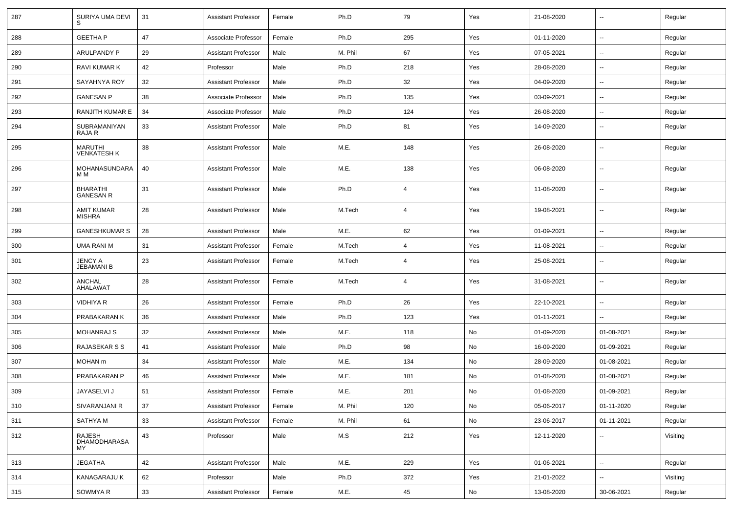| 287 | SURIYA UMA DEVI                      | 31     | Assistant Professor        | Female | Ph.D    | 79  | Yes           | 21-08-2020 | $\overline{\phantom{a}}$ | Regular  |
|-----|--------------------------------------|--------|----------------------------|--------|---------|-----|---------------|------------|--------------------------|----------|
| 288 | <b>GEETHA P</b>                      | 47     | Associate Professor        | Female | Ph.D    | 295 | Yes           | 01-11-2020 | $\sim$                   | Regular  |
| 289 | ARULPANDY P                          | 29     | <b>Assistant Professor</b> | Male   | M. Phil | 67  | Yes           | 07-05-2021 | --                       | Regular  |
| 290 | RAVI KUMAR K                         | 42     | Professor                  | Male   | Ph.D    | 218 | Yes           | 28-08-2020 | $\overline{\phantom{a}}$ | Regular  |
| 291 | SAYAHNYA ROY                         | 32     | <b>Assistant Professor</b> | Male   | Ph.D    | 32  | Yes           | 04-09-2020 | $\overline{\phantom{a}}$ | Regular  |
| 292 | <b>GANESAN P</b>                     | 38     | Associate Professor        | Male   | Ph.D    | 135 | Yes           | 03-09-2021 |                          | Regular  |
| 293 | <b>RANJITH KUMAR E</b>               | 34     | Associate Professor        | Male   | Ph.D    | 124 | Yes           | 26-08-2020 | $\sim$                   | Regular  |
| 294 | SUBRAMANIYAN<br>RAJA R               | 33     | Assistant Professor        | Male   | Ph.D    | 81  | Yes           | 14-09-2020 | $\sim$                   | Regular  |
| 295 | <b>MARUTHI</b><br><b>VENKATESH K</b> | 38     | <b>Assistant Professor</b> | Male   | M.E.    | 148 | Yes           | 26-08-2020 | $\mathbf{u}$             | Regular  |
| 296 | MOHANASUNDARA<br>M M                 | 40     | Assistant Professor        | Male   | M.E.    | 138 | Yes           | 06-08-2020 | $\overline{\phantom{a}}$ | Regular  |
| 297 | <b>BHARATHI</b><br><b>GANESAN R</b>  | 31     | <b>Assistant Professor</b> | Male   | Ph.D    | 4   | Yes           | 11-08-2020 | $\mathbf{u}$             | Regular  |
| 298 | AMIT KUMAR<br><b>MISHRA</b>          | 28     | <b>Assistant Professor</b> | Male   | M.Tech  | 4   | Yes           | 19-08-2021 | $\sim$                   | Regular  |
| 299 | <b>GANESHKUMAR S</b>                 | 28     | Assistant Professor        | Male   | M.E.    | 62  | Yes           | 01-09-2021 | $\sim$                   | Regular  |
| 300 | <b>UMA RANI M</b>                    | 31     | Assistant Professor        | Female | M.Tech  | 4   | Yes           | 11-08-2021 | $\overline{\phantom{a}}$ | Regular  |
| 301 | JENCY A<br><b>JEBAMANI B</b>         | 23     | Assistant Professor        | Female | M.Tech  | 4   | Yes           | 25-08-2021 | $\overline{\phantom{a}}$ | Regular  |
| 302 | <b>ANCHAL</b><br>AHALAWAT            | 28     | <b>Assistant Professor</b> | Female | M.Tech  | 4   | Yes           | 31-08-2021 | $\overline{\phantom{a}}$ | Regular  |
| 303 | <b>VIDHIYA R</b>                     | 26     | <b>Assistant Professor</b> | Female | Ph.D    | 26  | Yes           | 22-10-2021 | $\overline{\phantom{a}}$ | Regular  |
| 304 | PRABAKARAN K                         | 36     | <b>Assistant Professor</b> | Male   | Ph.D    | 123 | Yes           | 01-11-2021 |                          | Regular  |
| 305 | <b>MOHANRAJ S</b>                    | 32     | <b>Assistant Professor</b> | Male   | M.E.    | 118 | No            | 01-09-2020 | 01-08-2021               | Regular  |
| 306 | RAJASEKAR S S                        | 41     | <b>Assistant Professor</b> | Male   | Ph.D    | 98  | No            | 16-09-2020 | 01-09-2021               | Regular  |
| 307 | MOHAN m                              | 34     | Assistant Professor        | Male   | M.E.    | 134 | No            | 28-09-2020 | 01-08-2021               | Regular  |
| 308 | PRABAKARAN P                         | 46     | Assistant Professor        | Male   | M.E.    | 181 | No            | 01-08-2020 | 01-08-2021               | Regular  |
| 309 | JAYASELVI J                          | 51     | <b>Assistant Professor</b> | Female | M.E.    | 201 | No            | 01-08-2020 | 01-09-2021               | Regular  |
| 310 | SIVARANJANI R                        | 37     | <b>Assistant Professor</b> | Female | M. Phil | 120 | $\mathsf{No}$ | 05-06-2017 | 01-11-2020               | Regular  |
| 311 | SATHYA M                             | 33     | <b>Assistant Professor</b> | Female | M. Phil | 61  | No            | 23-06-2017 | 01-11-2021               | Regular  |
| 312 | RAJESH<br>DHAMODHARASA<br>MY.        | 43     | Professor                  | Male   | M.S     | 212 | Yes           | 12-11-2020 | $\overline{\phantom{a}}$ | Visiting |
| 313 | <b>JEGATHA</b>                       | 42     | <b>Assistant Professor</b> | Male   | M.E.    | 229 | Yes           | 01-06-2021 | $\sim$                   | Regular  |
| 314 | KANAGARAJU K                         | 62     | Professor                  | Male   | Ph.D    | 372 | Yes           | 21-01-2022 | $\sim$                   | Visiting |
| 315 | SOWMYA R                             | $33\,$ | <b>Assistant Professor</b> | Female | M.E.    | 45  | No            | 13-08-2020 | 30-06-2021               | Regular  |